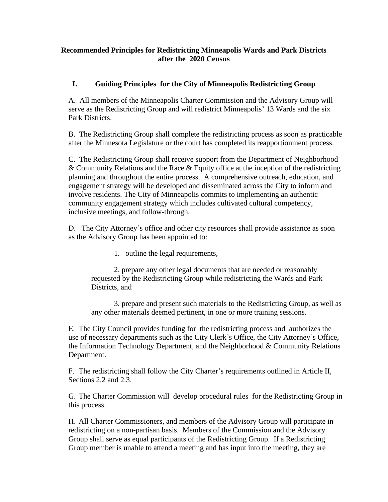## **Recommended Principles for Redistricting Minneapolis Wards and Park Districts after the 2020 Census**

## **I. Guiding Principles for the City of Minneapolis Redistricting Group**

A. All members of the Minneapolis Charter Commission and the Advisory Group will serve as the Redistricting Group and will redistrict Minneapolis' 13 Wards and the six Park Districts.

B. The Redistricting Group shall complete the redistricting process as soon as practicable after the Minnesota Legislature or the court has completed its reapportionment process.

C. The Redistricting Group shall receive support from the Department of Neighborhood & Community Relations and the Race & Equity office at the inception of the redistricting planning and throughout the entire process. A comprehensive outreach, education, and engagement strategy will be developed and disseminated across the City to inform and involve residents. The City of Minneapolis commits to implementing an authentic community engagement strategy which includes cultivated cultural competency, inclusive meetings, and follow-through.

D. The City Attorney's office and other city resources shall provide assistance as soon as the Advisory Group has been appointed to:

1. outline the legal requirements,

2. prepare any other legal documents that are needed or reasonably requested by the Redistricting Group while redistricting the Wards and Park Districts, and

3. prepare and present such materials to the Redistricting Group, as well as any other materials deemed pertinent, in one or more training sessions.

E. The City Council provides funding for the redistricting process and authorizes the use of necessary departments such as the City Clerk's Office, the City Attorney's Office, the Information Technology Department, and the Neighborhood & Community Relations Department.

F. The redistricting shall follow the City Charter's requirements outlined in Article II, Sections 2.2 and 2.3.

G. The Charter Commission will develop procedural rules for the Redistricting Group in this process.

H. All Charter Commissioners, and members of the Advisory Group will participate in redistricting on a non-partisan basis. Members of the Commission and the Advisory Group shall serve as equal participants of the Redistricting Group. If a Redistricting Group member is unable to attend a meeting and has input into the meeting, they are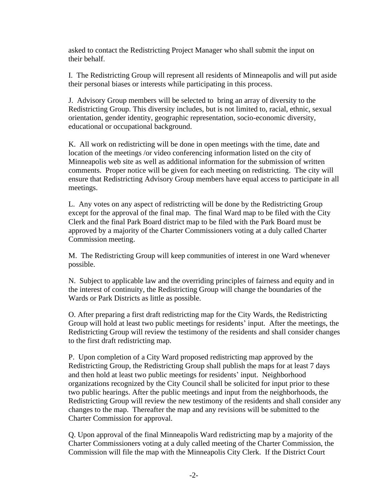asked to contact the Redistricting Project Manager who shall submit the input on their behalf.

I. The Redistricting Group will represent all residents of Minneapolis and will put aside their personal biases or interests while participating in this process.

J. Advisory Group members will be selected to bring an array of diversity to the Redistricting Group. This diversity includes, but is not limited to, racial, ethnic, sexual orientation, gender identity, geographic representation, socio-economic diversity, educational or occupational background.

K. All work on redistricting will be done in open meetings with the time, date and location of the meetings /or video conferencing information listed on the city of Minneapolis web site as well as additional information for the submission of written comments. Proper notice will be given for each meeting on redistricting. The city will ensure that Redistricting Advisory Group members have equal access to participate in all meetings.

L. Any votes on any aspect of redistricting will be done by the Redistricting Group except for the approval of the final map. The final Ward map to be filed with the City Clerk and the final Park Board district map to be filed with the Park Board must be approved by a majority of the Charter Commissioners voting at a duly called Charter Commission meeting.

M. The Redistricting Group will keep communities of interest in one Ward whenever possible.

N. Subject to applicable law and the overriding principles of fairness and equity and in the interest of continuity, the Redistricting Group will change the boundaries of the Wards or Park Districts as little as possible.

O. After preparing a first draft redistricting map for the City Wards, the Redistricting Group will hold at least two public meetings for residents' input. After the meetings, the Redistricting Group will review the testimony of the residents and shall consider changes to the first draft redistricting map.

P. Upon completion of a City Ward proposed redistricting map approved by the Redistricting Group, the Redistricting Group shall publish the maps for at least 7 days and then hold at least two public meetings for residents' input. Neighborhood organizations recognized by the City Council shall be solicited for input prior to these two public hearings. After the public meetings and input from the neighborhoods, the Redistricting Group will review the new testimony of the residents and shall consider any changes to the map. Thereafter the map and any revisions will be submitted to the Charter Commission for approval.

Q. Upon approval of the final Minneapolis Ward redistricting map by a majority of the Charter Commissioners voting at a duly called meeting of the Charter Commission, the Commission will file the map with the Minneapolis City Clerk. If the District Court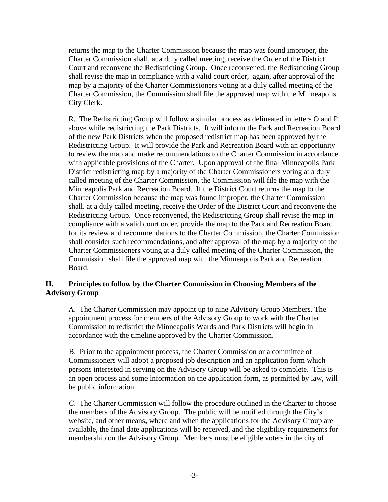returns the map to the Charter Commission because the map was found improper, the Charter Commission shall, at a duly called meeting, receive the Order of the District Court and reconvene the Redistricting Group. Once reconvened, the Redistricting Group shall revise the map in compliance with a valid court order, again, after approval of the map by a majority of the Charter Commissioners voting at a duly called meeting of the Charter Commission, the Commission shall file the approved map with the Minneapolis City Clerk.

R. The Redistricting Group will follow a similar process as delineated in letters O and P above while redistricting the Park Districts. It will inform the Park and Recreation Board of the new Park Districts when the proposed redistrict map has been approved by the Redistricting Group. It will provide the Park and Recreation Board with an opportunity to review the map and make recommendations to the Charter Commission in accordance with applicable provisions of the Charter. Upon approval of the final Minneapolis Park District redistricting map by a majority of the Charter Commissioners voting at a duly called meeting of the Charter Commission, the Commission will file the map with the Minneapolis Park and Recreation Board. If the District Court returns the map to the Charter Commission because the map was found improper, the Charter Commission shall, at a duly called meeting, receive the Order of the District Court and reconvene the Redistricting Group. Once reconvened, the Redistricting Group shall revise the map in compliance with a valid court order, provide the map to the Park and Recreation Board for its review and recommendations to the Charter Commission, the Charter Commission shall consider such recommendations, and after approval of the map by a majority of the Charter Commissioners voting at a duly called meeting of the Charter Commission, the Commission shall file the approved map with the Minneapolis Park and Recreation Board.

## **II. Principles to follow by the Charter Commission in Choosing Members of the Advisory Group**

A. The Charter Commission may appoint up to nine Advisory Group Members. The appointment process for members of the Advisory Group to work with the Charter Commission to redistrict the Minneapolis Wards and Park Districts will begin in accordance with the timeline approved by the Charter Commission.

B. Prior to the appointment process, the Charter Commission or a committee of Commissioners will adopt a proposed job description and an application form which persons interested in serving on the Advisory Group will be asked to complete. This is an open process and some information on the application form, as permitted by law, will be public information.

C. The Charter Commission will follow the procedure outlined in the Charter to choose the members of the Advisory Group. The public will be notified through the City's website, and other means, where and when the applications for the Advisory Group are available, the final date applications will be received, and the eligibility requirements for membership on the Advisory Group. Members must be eligible voters in the city of